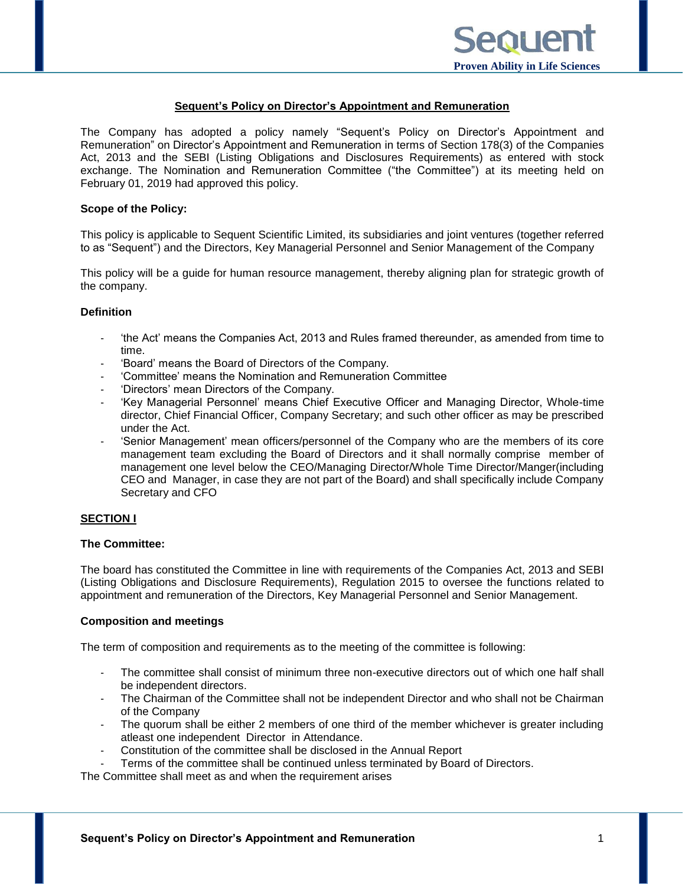#### **Sequent's Policy on Director's Appointment and Remuneration**

The Company has adopted a policy namely "Sequent's Policy on Director's Appointment and Remuneration" on Director's Appointment and Remuneration in terms of Section 178(3) of the Companies Act, 2013 and the SEBI (Listing Obligations and Disclosures Requirements) as entered with stock exchange. The Nomination and Remuneration Committee ("the Committee") at its meeting held on February 01, 2019 had approved this policy.

#### **Scope of the Policy:**

This policy is applicable to Sequent Scientific Limited, its subsidiaries and joint ventures (together referred to as "Sequent") and the Directors, Key Managerial Personnel and Senior Management of the Company

This policy will be a guide for human resource management, thereby aligning plan for strategic growth of the company.

#### **Definition**

- 'the Act' means the Companies Act, 2013 and Rules framed thereunder, as amended from time to time.
- 'Board' means the Board of Directors of the Company.
- 'Committee' means the Nomination and Remuneration Committee
- 'Directors' mean Directors of the Company.
- 'Key Managerial Personnel' means Chief Executive Officer and Managing Director, Whole-time director, Chief Financial Officer, Company Secretary; and such other officer as may be prescribed under the Act.
- 'Senior Management' mean officers/personnel of the Company who are the members of its core management team excluding the Board of Directors and it shall normally comprise member of management one level below the CEO/Managing Director/Whole Time Director/Manger(including CEO and Manager, in case they are not part of the Board) and shall specifically include Company Secretary and CFO

#### **SECTION I**

#### **The Committee:**

The board has constituted the Committee in line with requirements of the Companies Act, 2013 and SEBI (Listing Obligations and Disclosure Requirements), Regulation 2015 to oversee the functions related to appointment and remuneration of the Directors, Key Managerial Personnel and Senior Management.

#### **Composition and meetings**

The term of composition and requirements as to the meeting of the committee is following:

- The committee shall consist of minimum three non-executive directors out of which one half shall be independent directors.
- The Chairman of the Committee shall not be independent Director and who shall not be Chairman of the Company
- The quorum shall be either 2 members of one third of the member whichever is greater including atleast one independent Director in Attendance.
- Constitution of the committee shall be disclosed in the Annual Report
- Terms of the committee shall be continued unless terminated by Board of Directors.

The Committee shall meet as and when the requirement arises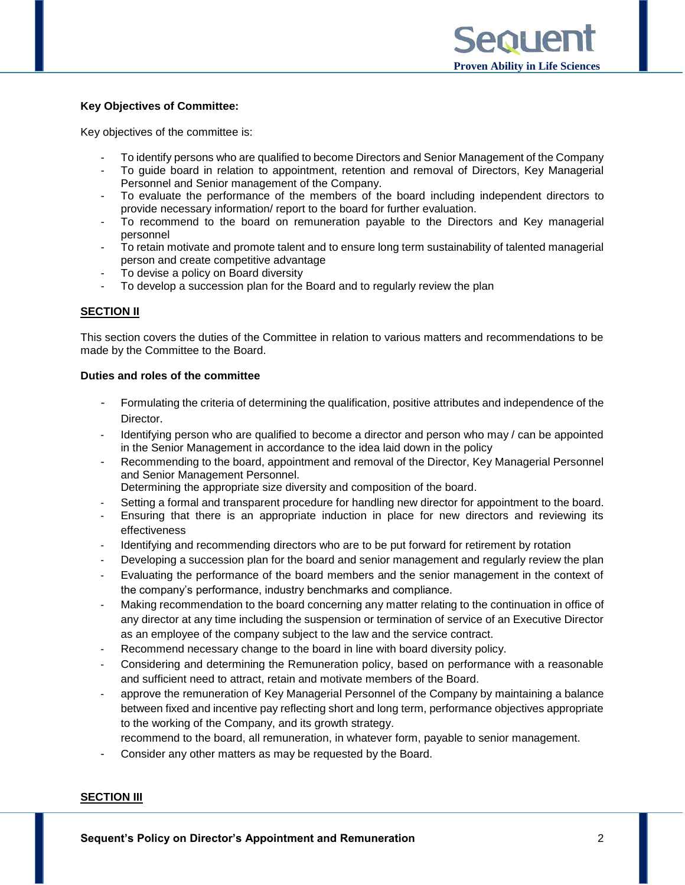## **Key Objectives of Committee:**

Key objectives of the committee is:

- To identify persons who are qualified to become Directors and Senior Management of the Company
- To guide board in relation to appointment, retention and removal of Directors, Key Managerial Personnel and Senior management of the Company.
- To evaluate the performance of the members of the board including independent directors to provide necessary information/ report to the board for further evaluation.
- To recommend to the board on remuneration payable to the Directors and Key managerial personnel
- To retain motivate and promote talent and to ensure long term sustainability of talented managerial person and create competitive advantage
- To devise a policy on Board diversity
- To develop a succession plan for the Board and to regularly review the plan

# **SECTION II**

This section covers the duties of the Committee in relation to various matters and recommendations to be made by the Committee to the Board.

#### **Duties and roles of the committee**

- Formulating the criteria of determining the qualification, positive attributes and independence of the Director.
- Identifying person who are qualified to become a director and person who may / can be appointed in the Senior Management in accordance to the idea laid down in the policy
- Recommending to the board, appointment and removal of the Director, Key Managerial Personnel and Senior Management Personnel.
	- Determining the appropriate size diversity and composition of the board.
- Setting a formal and transparent procedure for handling new director for appointment to the board.
- Ensuring that there is an appropriate induction in place for new directors and reviewing its effectiveness
- Identifying and recommending directors who are to be put forward for retirement by rotation
- Developing a succession plan for the board and senior management and regularly review the plan
- Evaluating the performance of the board members and the senior management in the context of the company's performance, industry benchmarks and compliance.
- Making recommendation to the board concerning any matter relating to the continuation in office of any director at any time including the suspension or termination of service of an Executive Director as an employee of the company subject to the law and the service contract.
- Recommend necessary change to the board in line with board diversity policy.
- Considering and determining the Remuneration policy, based on performance with a reasonable and sufficient need to attract, retain and motivate members of the Board.
- approve the remuneration of Key Managerial Personnel of the Company by maintaining a balance between fixed and incentive pay reflecting short and long term, performance objectives appropriate to the working of the Company, and its growth strategy.
	- recommend to the board, all remuneration, in whatever form, payable to senior management.
- Consider any other matters as may be requested by the Board.

#### **SECTION III**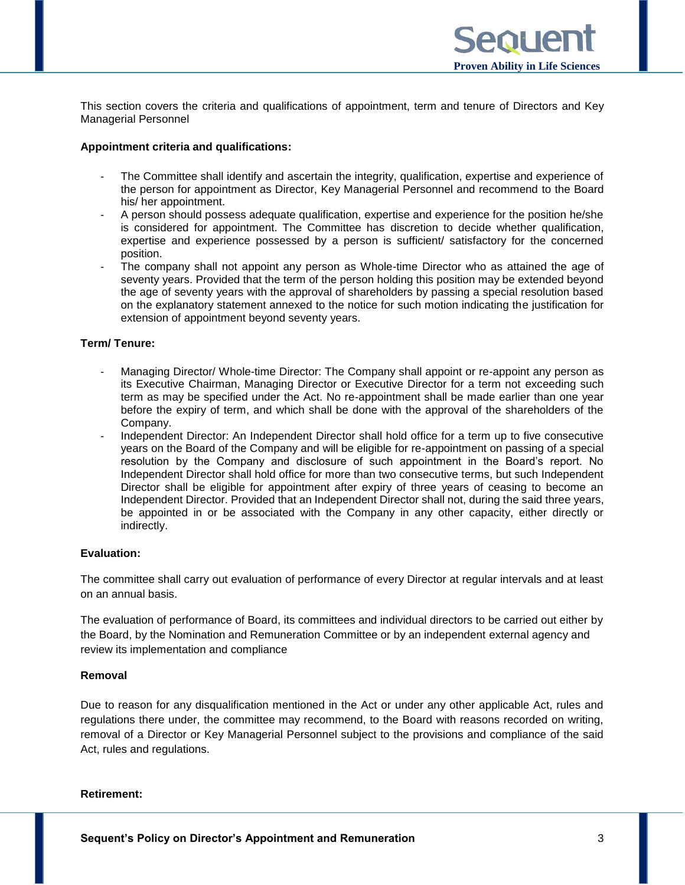This section covers the criteria and qualifications of appointment, term and tenure of Directors and Key Managerial Personnel

### **Appointment criteria and qualifications:**

- The Committee shall identify and ascertain the integrity, qualification, expertise and experience of the person for appointment as Director, Key Managerial Personnel and recommend to the Board his/ her appointment.
- A person should possess adequate qualification, expertise and experience for the position he/she is considered for appointment. The Committee has discretion to decide whether qualification, expertise and experience possessed by a person is sufficient/ satisfactory for the concerned position.
- The company shall not appoint any person as Whole-time Director who as attained the age of seventy years. Provided that the term of the person holding this position may be extended beyond the age of seventy years with the approval of shareholders by passing a special resolution based on the explanatory statement annexed to the notice for such motion indicating the justification for extension of appointment beyond seventy years.

# **Term/ Tenure:**

- Managing Director/ Whole-time Director: The Company shall appoint or re-appoint any person as its Executive Chairman, Managing Director or Executive Director for a term not exceeding such term as may be specified under the Act. No re-appointment shall be made earlier than one year before the expiry of term, and which shall be done with the approval of the shareholders of the Company.
- Independent Director: An Independent Director shall hold office for a term up to five consecutive years on the Board of the Company and will be eligible for re-appointment on passing of a special resolution by the Company and disclosure of such appointment in the Board's report. No Independent Director shall hold office for more than two consecutive terms, but such Independent Director shall be eligible for appointment after expiry of three years of ceasing to become an Independent Director. Provided that an Independent Director shall not, during the said three years, be appointed in or be associated with the Company in any other capacity, either directly or indirectly.

### **Evaluation:**

The committee shall carry out evaluation of performance of every Director at regular intervals and at least on an annual basis.

The evaluation of performance of Board, its committees and individual directors to be carried out either by the Board, by the Nomination and Remuneration Committee or by an independent external agency and review its implementation and compliance

# **Removal**

Due to reason for any disqualification mentioned in the Act or under any other applicable Act, rules and regulations there under, the committee may recommend, to the Board with reasons recorded on writing, removal of a Director or Key Managerial Personnel subject to the provisions and compliance of the said Act, rules and regulations.

#### **Retirement:**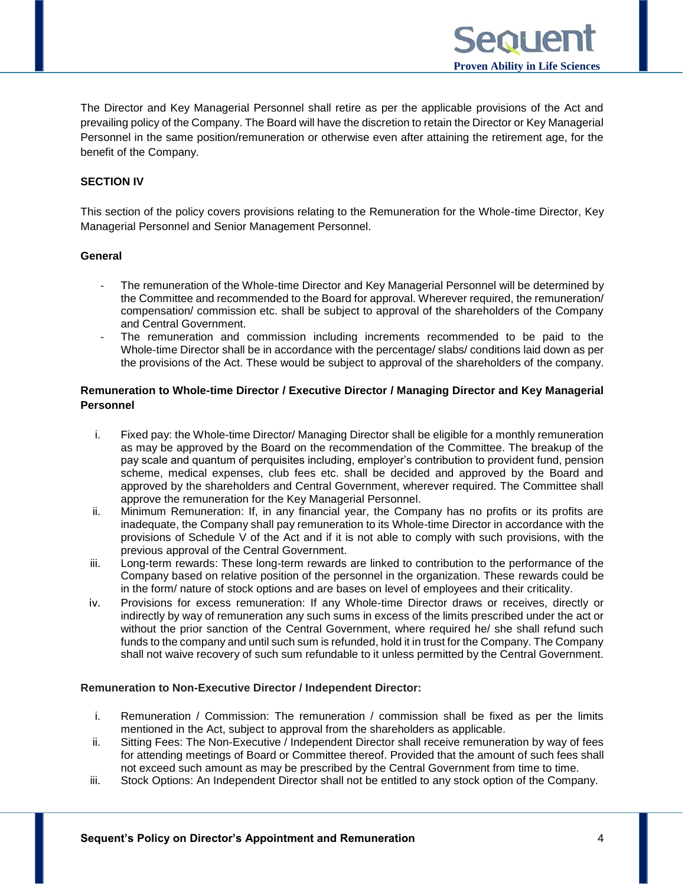The Director and Key Managerial Personnel shall retire as per the applicable provisions of the Act and prevailing policy of the Company. The Board will have the discretion to retain the Director or Key Managerial Personnel in the same position/remuneration or otherwise even after attaining the retirement age, for the benefit of the Company.

 **Proven Ability in Life Sciences**

entiel

## **SECTION IV**

This section of the policy covers provisions relating to the Remuneration for the Whole-time Director, Key Managerial Personnel and Senior Management Personnel.

#### **General**

- The remuneration of the Whole-time Director and Key Managerial Personnel will be determined by the Committee and recommended to the Board for approval. Wherever required, the remuneration/ compensation/ commission etc. shall be subject to approval of the shareholders of the Company and Central Government.
- The remuneration and commission including increments recommended to be paid to the Whole-time Director shall be in accordance with the percentage/ slabs/ conditions laid down as per the provisions of the Act. These would be subject to approval of the shareholders of the company.

## **Remuneration to Whole-time Director / Executive Director / Managing Director and Key Managerial Personnel**

- i. Fixed pay: the Whole-time Director/ Managing Director shall be eligible for a monthly remuneration as may be approved by the Board on the recommendation of the Committee. The breakup of the pay scale and quantum of perquisites including, employer's contribution to provident fund, pension scheme, medical expenses, club fees etc. shall be decided and approved by the Board and approved by the shareholders and Central Government, wherever required. The Committee shall approve the remuneration for the Key Managerial Personnel.
- ii. Minimum Remuneration: If, in any financial year, the Company has no profits or its profits are inadequate, the Company shall pay remuneration to its Whole-time Director in accordance with the provisions of Schedule V of the Act and if it is not able to comply with such provisions, with the previous approval of the Central Government.
- iii. Long-term rewards: These long-term rewards are linked to contribution to the performance of the Company based on relative position of the personnel in the organization. These rewards could be in the form/ nature of stock options and are bases on level of employees and their criticality.
- iv. Provisions for excess remuneration: If any Whole-time Director draws or receives, directly or indirectly by way of remuneration any such sums in excess of the limits prescribed under the act or without the prior sanction of the Central Government, where required he/ she shall refund such funds to the company and until such sum is refunded, hold it in trust for the Company. The Company shall not waive recovery of such sum refundable to it unless permitted by the Central Government.

#### **Remuneration to Non-Executive Director / Independent Director:**

- i. Remuneration / Commission: The remuneration / commission shall be fixed as per the limits mentioned in the Act, subject to approval from the shareholders as applicable.
- ii. Sitting Fees: The Non-Executive / Independent Director shall receive remuneration by way of fees for attending meetings of Board or Committee thereof. Provided that the amount of such fees shall not exceed such amount as may be prescribed by the Central Government from time to time.
- iii. Stock Options: An Independent Director shall not be entitled to any stock option of the Company.